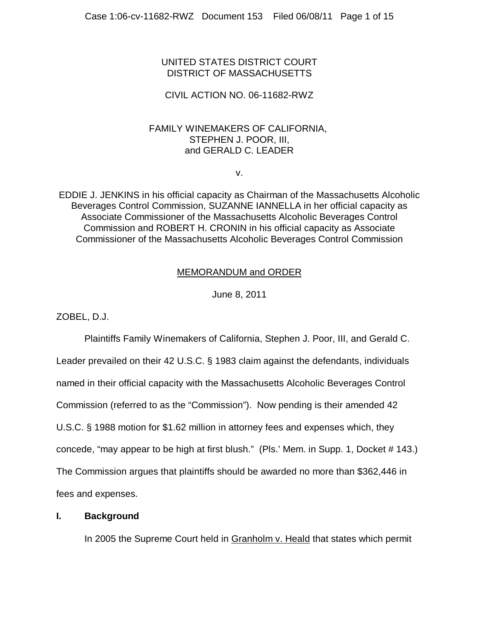# UNITED STATES DISTRICT COURT DISTRICT OF MASSACHUSETTS

# CIVIL ACTION NO. 06-11682-RWZ

# FAMILY WINEMAKERS OF CALIFORNIA, STEPHEN J. POOR, III, and GERALD C. LEADER

v.

EDDIE J. JENKINS in his official capacity as Chairman of the Massachusetts Alcoholic Beverages Control Commission, SUZANNE IANNELLA in her official capacity as Associate Commissioner of the Massachusetts Alcoholic Beverages Control Commission and ROBERT H. CRONIN in his official capacity as Associate Commissioner of the Massachusetts Alcoholic Beverages Control Commission

# MEMORANDUM and ORDER

June 8, 2011

ZOBEL, D.J.

Plaintiffs Family Winemakers of California, Stephen J. Poor, III, and Gerald C. Leader prevailed on their 42 U.S.C. § 1983 claim against the defendants, individuals named in their official capacity with the Massachusetts Alcoholic Beverages Control Commission (referred to as the "Commission"). Now pending is their amended 42 U.S.C. § 1988 motion for \$1.62 million in attorney fees and expenses which, they concede, "may appear to be high at first blush." (Pls.' Mem. in Supp. 1, Docket # 143.) The Commission argues that plaintiffs should be awarded no more than \$362,446 in fees and expenses.

## **I. Background**

In 2005 the Supreme Court held in Granholm v. Heald that states which permit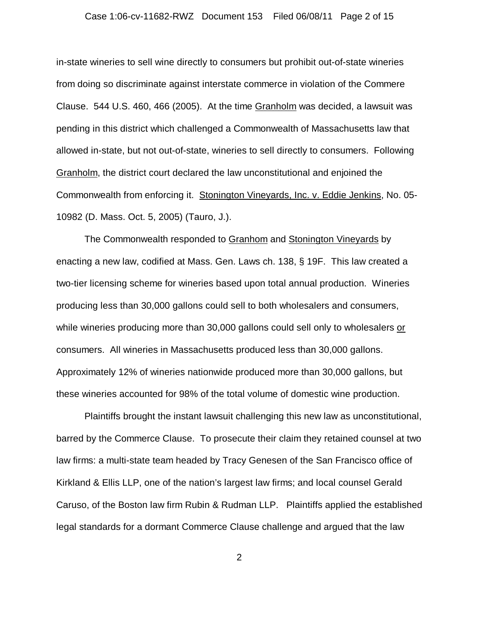#### Case 1:06-cv-11682-RWZ Document 153 Filed 06/08/11 Page 2 of 15

in-state wineries to sell wine directly to consumers but prohibit out-of-state wineries from doing so discriminate against interstate commerce in violation of the Commere Clause. 544 U.S. 460, 466 (2005). At the time Granholm was decided, a lawsuit was pending in this district which challenged a Commonwealth of Massachusetts law that allowed in-state, but not out-of-state, wineries to sell directly to consumers. Following Granholm, the district court declared the law unconstitutional and enjoined the Commonwealth from enforcing it. Stonington Vineyards, Inc. v. Eddie Jenkins, No. 05- 10982 (D. Mass. Oct. 5, 2005) (Tauro, J.).

The Commonwealth responded to Granhom and Stonington Vineyards by enacting a new law, codified at Mass. Gen. Laws ch. 138, § 19F. This law created a two-tier licensing scheme for wineries based upon total annual production. Wineries producing less than 30,000 gallons could sell to both wholesalers and consumers, while wineries producing more than 30,000 gallons could sell only to wholesalers or consumers. All wineries in Massachusetts produced less than 30,000 gallons. Approximately 12% of wineries nationwide produced more than 30,000 gallons, but these wineries accounted for 98% of the total volume of domestic wine production.

Plaintiffs brought the instant lawsuit challenging this new law as unconstitutional, barred by the Commerce Clause. To prosecute their claim they retained counsel at two law firms: a multi-state team headed by Tracy Genesen of the San Francisco office of Kirkland & Ellis LLP, one of the nation's largest law firms; and local counsel Gerald Caruso, of the Boston law firm Rubin & Rudman LLP. Plaintiffs applied the established legal standards for a dormant Commerce Clause challenge and argued that the law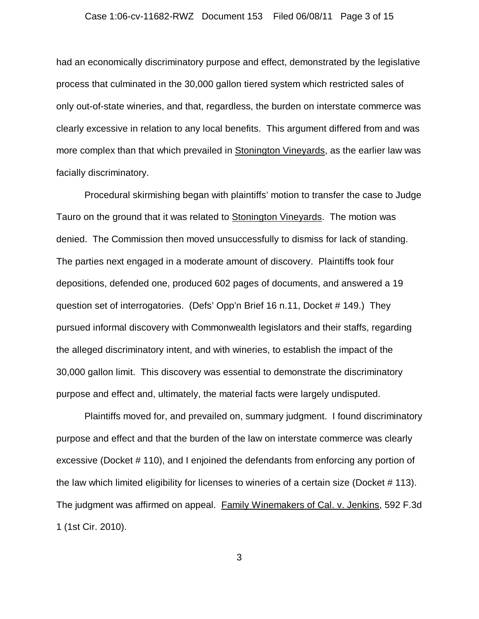had an economically discriminatory purpose and effect, demonstrated by the legislative process that culminated in the 30,000 gallon tiered system which restricted sales of only out-of-state wineries, and that, regardless, the burden on interstate commerce was clearly excessive in relation to any local benefits. This argument differed from and was more complex than that which prevailed in Stonington Vineyards, as the earlier law was facially discriminatory.

Procedural skirmishing began with plaintiffs' motion to transfer the case to Judge Tauro on the ground that it was related to Stonington Vineyards. The motion was denied. The Commission then moved unsuccessfully to dismiss for lack of standing. The parties next engaged in a moderate amount of discovery. Plaintiffs took four depositions, defended one, produced 602 pages of documents, and answered a 19 question set of interrogatories. (Defs' Opp'n Brief 16 n.11, Docket # 149.) They pursued informal discovery with Commonwealth legislators and their staffs, regarding the alleged discriminatory intent, and with wineries, to establish the impact of the 30,000 gallon limit. This discovery was essential to demonstrate the discriminatory purpose and effect and, ultimately, the material facts were largely undisputed.

Plaintiffs moved for, and prevailed on, summary judgment. I found discriminatory purpose and effect and that the burden of the law on interstate commerce was clearly excessive (Docket # 110), and I enjoined the defendants from enforcing any portion of the law which limited eligibility for licenses to wineries of a certain size (Docket # 113). The judgment was affirmed on appeal. Family Winemakers of Cal. v. Jenkins, 592 F.3d 1 (1st Cir. 2010).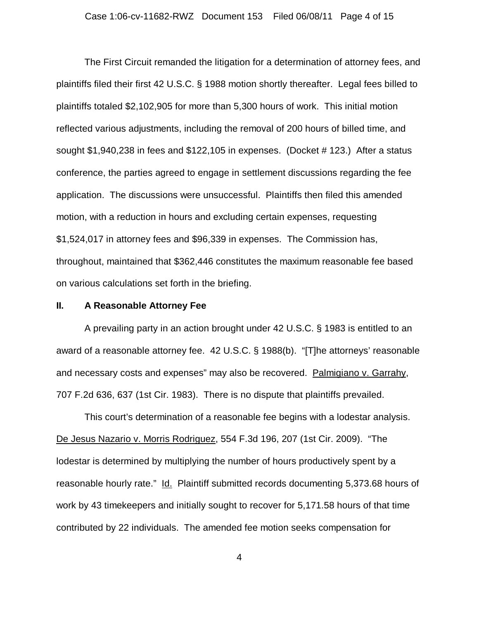The First Circuit remanded the litigation for a determination of attorney fees, and plaintiffs filed their first 42 U.S.C. § 1988 motion shortly thereafter. Legal fees billed to plaintiffs totaled \$2,102,905 for more than 5,300 hours of work. This initial motion reflected various adjustments, including the removal of 200 hours of billed time, and sought \$1,940,238 in fees and \$122,105 in expenses. (Docket # 123.) After a status conference, the parties agreed to engage in settlement discussions regarding the fee application. The discussions were unsuccessful. Plaintiffs then filed this amended motion, with a reduction in hours and excluding certain expenses, requesting \$1,524,017 in attorney fees and \$96,339 in expenses. The Commission has, throughout, maintained that \$362,446 constitutes the maximum reasonable fee based on various calculations set forth in the briefing.

#### **II. A Reasonable Attorney Fee**

A prevailing party in an action brought under 42 U.S.C. § 1983 is entitled to an award of a reasonable attorney fee. 42 U.S.C. § 1988(b). "[T]he attorneys' reasonable and necessary costs and expenses" may also be recovered. Palmigiano v. Garrahy, 707 F.2d 636, 637 (1st Cir. 1983). There is no dispute that plaintiffs prevailed.

This court's determination of a reasonable fee begins with a lodestar analysis. De Jesus Nazario v. Morris Rodriguez, 554 F.3d 196, 207 (1st Cir. 2009). "The lodestar is determined by multiplying the number of hours productively spent by a reasonable hourly rate." Id. Plaintiff submitted records documenting 5,373.68 hours of work by 43 timekeepers and initially sought to recover for 5,171.58 hours of that time contributed by 22 individuals. The amended fee motion seeks compensation for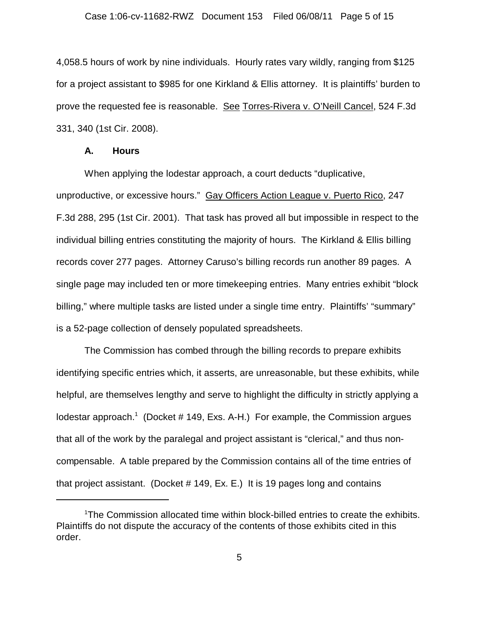4,058.5 hours of work by nine individuals. Hourly rates vary wildly, ranging from \$125 for a project assistant to \$985 for one Kirkland & Ellis attorney. It is plaintiffs' burden to prove the requested fee is reasonable. See Torres-Rivera v. O'Neill Cancel, 524 F.3d 331, 340 (1st Cir. 2008).

#### **A. Hours**

When applying the lodestar approach, a court deducts "duplicative, unproductive, or excessive hours." Gay Officers Action League v. Puerto Rico, 247 F.3d 288, 295 (1st Cir. 2001). That task has proved all but impossible in respect to the individual billing entries constituting the majority of hours. The Kirkland & Ellis billing records cover 277 pages. Attorney Caruso's billing records run another 89 pages. A single page may included ten or more timekeeping entries. Many entries exhibit "block billing," where multiple tasks are listed under a single time entry. Plaintiffs' "summary" is a 52-page collection of densely populated spreadsheets.

The Commission has combed through the billing records to prepare exhibits identifying specific entries which, it asserts, are unreasonable, but these exhibits, while helpful, are themselves lengthy and serve to highlight the difficulty in strictly applying a lodestar approach.<sup>1</sup> (Docket # 149, Exs. A-H.) For example, the Commission argues that all of the work by the paralegal and project assistant is "clerical," and thus noncompensable. A table prepared by the Commission contains all of the time entries of that project assistant. (Docket # 149, Ex. E.) It is 19 pages long and contains

<sup>1</sup> The Commission allocated time within block-billed entries to create the exhibits. Plaintiffs do not dispute the accuracy of the contents of those exhibits cited in this order.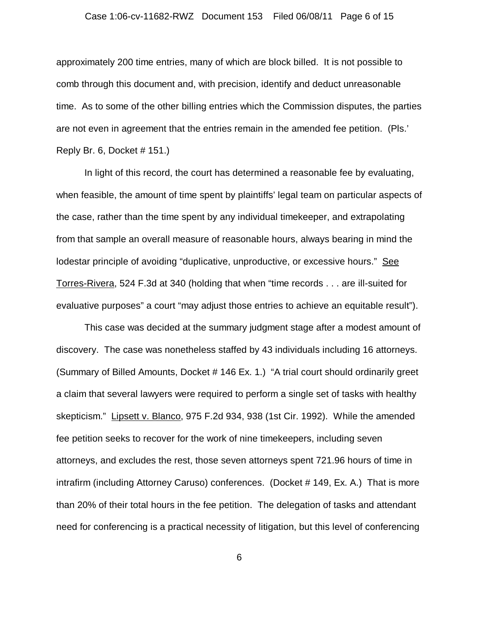#### Case 1:06-cv-11682-RWZ Document 153 Filed 06/08/11 Page 6 of 15

approximately 200 time entries, many of which are block billed. It is not possible to comb through this document and, with precision, identify and deduct unreasonable time. As to some of the other billing entries which the Commission disputes, the parties are not even in agreement that the entries remain in the amended fee petition. (Pls.' Reply Br. 6, Docket # 151.)

In light of this record, the court has determined a reasonable fee by evaluating, when feasible, the amount of time spent by plaintiffs' legal team on particular aspects of the case, rather than the time spent by any individual timekeeper, and extrapolating from that sample an overall measure of reasonable hours, always bearing in mind the lodestar principle of avoiding "duplicative, unproductive, or excessive hours." See Torres-Rivera, 524 F.3d at 340 (holding that when "time records . . . are ill-suited for evaluative purposes" a court "may adjust those entries to achieve an equitable result").

This case was decided at the summary judgment stage after a modest amount of discovery. The case was nonetheless staffed by 43 individuals including 16 attorneys. (Summary of Billed Amounts, Docket # 146 Ex. 1.) "A trial court should ordinarily greet a claim that several lawyers were required to perform a single set of tasks with healthy skepticism." Lipsett v. Blanco, 975 F.2d 934, 938 (1st Cir. 1992). While the amended fee petition seeks to recover for the work of nine timekeepers, including seven attorneys, and excludes the rest, those seven attorneys spent 721.96 hours of time in intrafirm (including Attorney Caruso) conferences. (Docket # 149, Ex. A.) That is more than 20% of their total hours in the fee petition. The delegation of tasks and attendant need for conferencing is a practical necessity of litigation, but this level of conferencing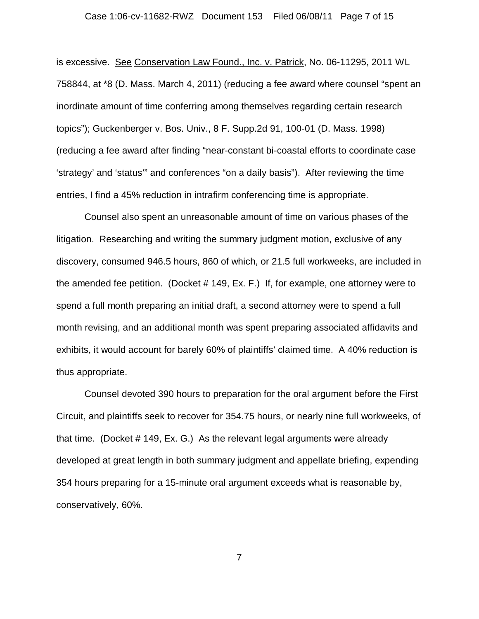#### Case 1:06-cv-11682-RWZ Document 153 Filed 06/08/11 Page 7 of 15

is excessive. See Conservation Law Found., Inc. v. Patrick, No. 06-11295, 2011 WL 758844, at \*8 (D. Mass. March 4, 2011) (reducing a fee award where counsel "spent an inordinate amount of time conferring among themselves regarding certain research topics"); Guckenberger v. Bos. Univ., 8 F. Supp.2d 91, 100-01 (D. Mass. 1998) (reducing a fee award after finding "near-constant bi-coastal efforts to coordinate case 'strategy' and 'status'" and conferences "on a daily basis"). After reviewing the time entries, I find a 45% reduction in intrafirm conferencing time is appropriate.

Counsel also spent an unreasonable amount of time on various phases of the litigation. Researching and writing the summary judgment motion, exclusive of any discovery, consumed 946.5 hours, 860 of which, or 21.5 full workweeks, are included in the amended fee petition. (Docket # 149, Ex. F.) If, for example, one attorney were to spend a full month preparing an initial draft, a second attorney were to spend a full month revising, and an additional month was spent preparing associated affidavits and exhibits, it would account for barely 60% of plaintiffs' claimed time. A 40% reduction is thus appropriate.

Counsel devoted 390 hours to preparation for the oral argument before the First Circuit, and plaintiffs seek to recover for 354.75 hours, or nearly nine full workweeks, of that time. (Docket # 149, Ex. G.) As the relevant legal arguments were already developed at great length in both summary judgment and appellate briefing, expending 354 hours preparing for a 15-minute oral argument exceeds what is reasonable by, conservatively, 60%.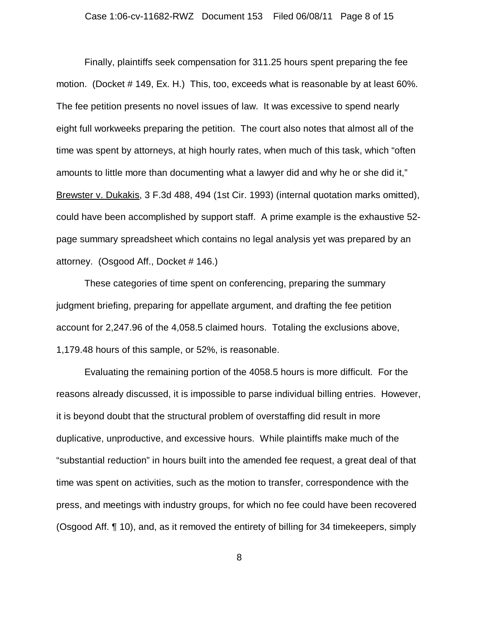Finally, plaintiffs seek compensation for 311.25 hours spent preparing the fee motion. (Docket # 149, Ex. H.) This, too, exceeds what is reasonable by at least 60%. The fee petition presents no novel issues of law. It was excessive to spend nearly eight full workweeks preparing the petition. The court also notes that almost all of the time was spent by attorneys, at high hourly rates, when much of this task, which "often amounts to little more than documenting what a lawyer did and why he or she did it," Brewster v. Dukakis, 3 F.3d 488, 494 (1st Cir. 1993) (internal quotation marks omitted), could have been accomplished by support staff. A prime example is the exhaustive 52 page summary spreadsheet which contains no legal analysis yet was prepared by an attorney. (Osgood Aff., Docket # 146.)

These categories of time spent on conferencing, preparing the summary judgment briefing, preparing for appellate argument, and drafting the fee petition account for 2,247.96 of the 4,058.5 claimed hours. Totaling the exclusions above, 1,179.48 hours of this sample, or 52%, is reasonable.

Evaluating the remaining portion of the 4058.5 hours is more difficult. For the reasons already discussed, it is impossible to parse individual billing entries. However, it is beyond doubt that the structural problem of overstaffing did result in more duplicative, unproductive, and excessive hours. While plaintiffs make much of the "substantial reduction" in hours built into the amended fee request, a great deal of that time was spent on activities, such as the motion to transfer, correspondence with the press, and meetings with industry groups, for which no fee could have been recovered (Osgood Aff. ¶ 10), and, as it removed the entirety of billing for 34 timekeepers, simply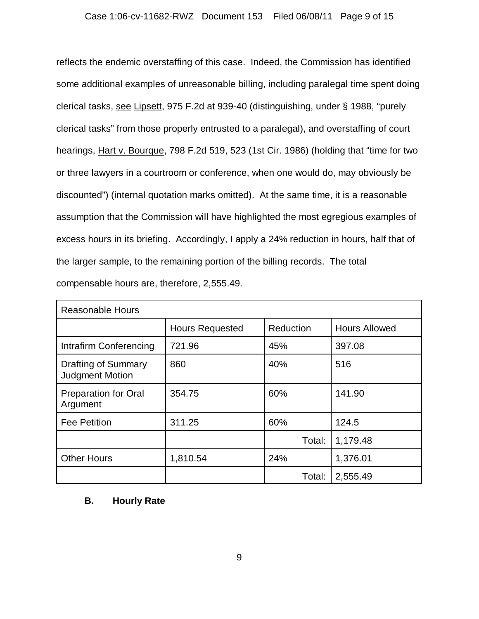### Case 1:06-cv-11682-RWZ Document 153 Filed 06/08/11 Page 9 of 15

reflects the endemic overstaffing of this case. Indeed, the Commission has identified some additional examples of unreasonable billing, including paralegal time spent doing clerical tasks, see Lipsett, 975 F.2d at 939-40 (distinguishing, under § 1988, "purely clerical tasks" from those properly entrusted to a paralegal), and overstaffing of court hearings, Hart v. Bourque, 798 F.2d 519, 523 (1st Cir. 1986) (holding that "time for two or three lawyers in a courtroom or conference, when one would do, may obviously be discounted") (internal quotation marks omitted). At the same time, it is a reasonable assumption that the Commission will have highlighted the most egregious examples of excess hours in its briefing. Accordingly, I apply a 24% reduction in hours, half that of the larger sample, to the remaining portion of the billing records. The total compensable hours are, therefore, 2,555.49.

| <b>Reasonable Hours</b>                              |                        |           |                      |  |
|------------------------------------------------------|------------------------|-----------|----------------------|--|
|                                                      | <b>Hours Requested</b> | Reduction | <b>Hours Allowed</b> |  |
| Intrafirm Conferencing                               | 721.96                 | 45%       | 397.08               |  |
| <b>Drafting of Summary</b><br><b>Judgment Motion</b> | 860                    | 40%       | 516                  |  |
| <b>Preparation for Oral</b><br>Argument              | 354.75                 | 60%       | 141.90               |  |
| <b>Fee Petition</b>                                  | 311.25                 | 60%       | 124.5                |  |
|                                                      |                        | Total:    | 1,179.48             |  |
| <b>Other Hours</b>                                   | 1,810.54               | 24%       | 1,376.01             |  |
|                                                      |                        | Total:    | 2,555.49             |  |

### **B. Hourly Rate**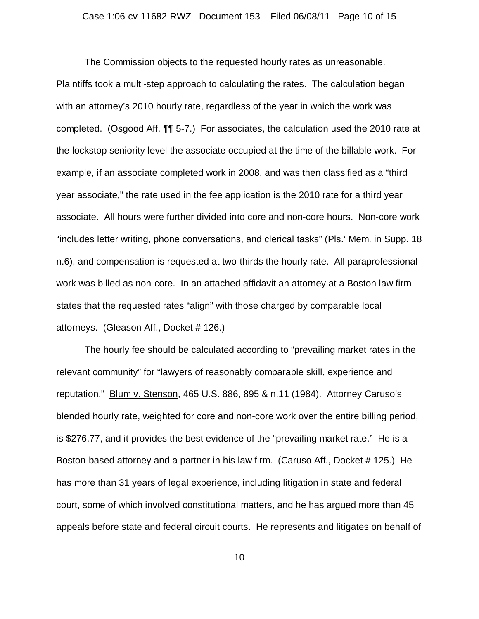The Commission objects to the requested hourly rates as unreasonable. Plaintiffs took a multi-step approach to calculating the rates. The calculation began with an attorney's 2010 hourly rate, regardless of the year in which the work was completed. (Osgood Aff. ¶¶ 5-7.) For associates, the calculation used the 2010 rate at the lockstop seniority level the associate occupied at the time of the billable work. For example, if an associate completed work in 2008, and was then classified as a "third year associate," the rate used in the fee application is the 2010 rate for a third year associate. All hours were further divided into core and non-core hours. Non-core work "includes letter writing, phone conversations, and clerical tasks" (Pls.' Mem. in Supp. 18 n.6), and compensation is requested at two-thirds the hourly rate. All paraprofessional work was billed as non-core. In an attached affidavit an attorney at a Boston law firm states that the requested rates "align" with those charged by comparable local attorneys. (Gleason Aff., Docket # 126.)

The hourly fee should be calculated according to "prevailing market rates in the relevant community" for "lawyers of reasonably comparable skill, experience and reputation." Blum v. Stenson, 465 U.S. 886, 895 & n.11 (1984). Attorney Caruso's blended hourly rate, weighted for core and non-core work over the entire billing period, is \$276.77, and it provides the best evidence of the "prevailing market rate." He is a Boston-based attorney and a partner in his law firm. (Caruso Aff., Docket # 125.) He has more than 31 years of legal experience, including litigation in state and federal court, some of which involved constitutional matters, and he has argued more than 45 appeals before state and federal circuit courts. He represents and litigates on behalf of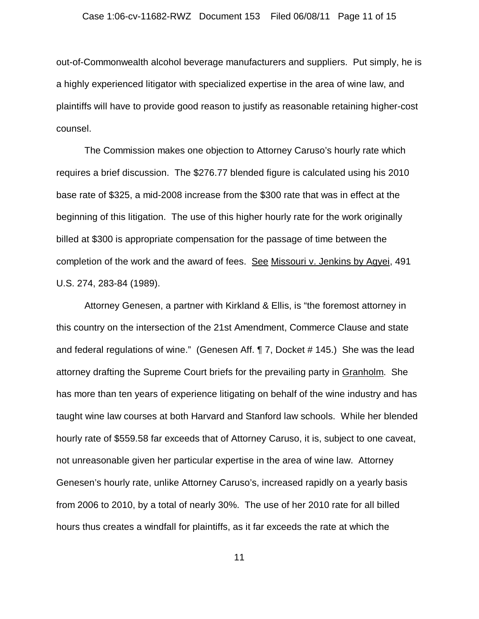out-of-Commonwealth alcohol beverage manufacturers and suppliers. Put simply, he is a highly experienced litigator with specialized expertise in the area of wine law, and plaintiffs will have to provide good reason to justify as reasonable retaining higher-cost counsel.

The Commission makes one objection to Attorney Caruso's hourly rate which requires a brief discussion. The \$276.77 blended figure is calculated using his 2010 base rate of \$325, a mid-2008 increase from the \$300 rate that was in effect at the beginning of this litigation. The use of this higher hourly rate for the work originally billed at \$300 is appropriate compensation for the passage of time between the completion of the work and the award of fees. See Missouri v. Jenkins by Agyei, 491 U.S. 274, 283-84 (1989).

Attorney Genesen, a partner with Kirkland & Ellis, is "the foremost attorney in this country on the intersection of the 21st Amendment, Commerce Clause and state and federal regulations of wine." (Genesen Aff. ¶ 7, Docket # 145.) She was the lead attorney drafting the Supreme Court briefs for the prevailing party in Granholm. She has more than ten years of experience litigating on behalf of the wine industry and has taught wine law courses at both Harvard and Stanford law schools. While her blended hourly rate of \$559.58 far exceeds that of Attorney Caruso, it is, subject to one caveat, not unreasonable given her particular expertise in the area of wine law. Attorney Genesen's hourly rate, unlike Attorney Caruso's, increased rapidly on a yearly basis from 2006 to 2010, by a total of nearly 30%. The use of her 2010 rate for all billed hours thus creates a windfall for plaintiffs, as it far exceeds the rate at which the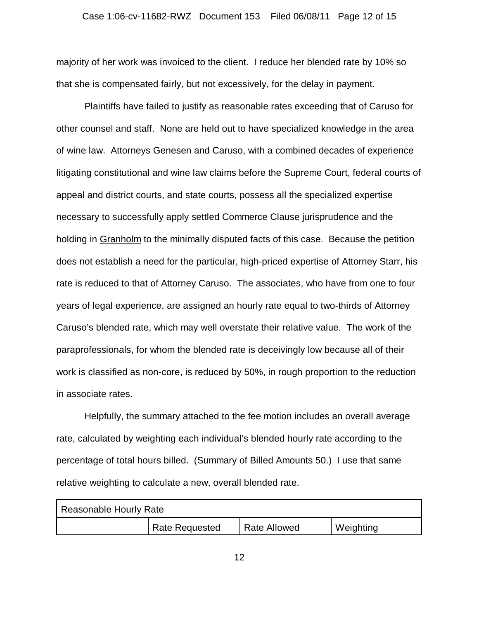majority of her work was invoiced to the client. I reduce her blended rate by 10% so that she is compensated fairly, but not excessively, for the delay in payment.

Plaintiffs have failed to justify as reasonable rates exceeding that of Caruso for other counsel and staff. None are held out to have specialized knowledge in the area of wine law. Attorneys Genesen and Caruso, with a combined decades of experience litigating constitutional and wine law claims before the Supreme Court, federal courts of appeal and district courts, and state courts, possess all the specialized expertise necessary to successfully apply settled Commerce Clause jurisprudence and the holding in Granholm to the minimally disputed facts of this case. Because the petition does not establish a need for the particular, high-priced expertise of Attorney Starr, his rate is reduced to that of Attorney Caruso. The associates, who have from one to four years of legal experience, are assigned an hourly rate equal to two-thirds of Attorney Caruso's blended rate, which may well overstate their relative value. The work of the paraprofessionals, for whom the blended rate is deceivingly low because all of their work is classified as non-core, is reduced by 50%, in rough proportion to the reduction in associate rates.

Helpfully, the summary attached to the fee motion includes an overall average rate, calculated by weighting each individual's blended hourly rate according to the percentage of total hours billed. (Summary of Billed Amounts 50.) I use that same relative weighting to calculate a new, overall blended rate.

| Reasonable Hourly Rate |                       |                     |           |  |
|------------------------|-----------------------|---------------------|-----------|--|
|                        | <b>Rate Requested</b> | <b>Rate Allowed</b> | Weighting |  |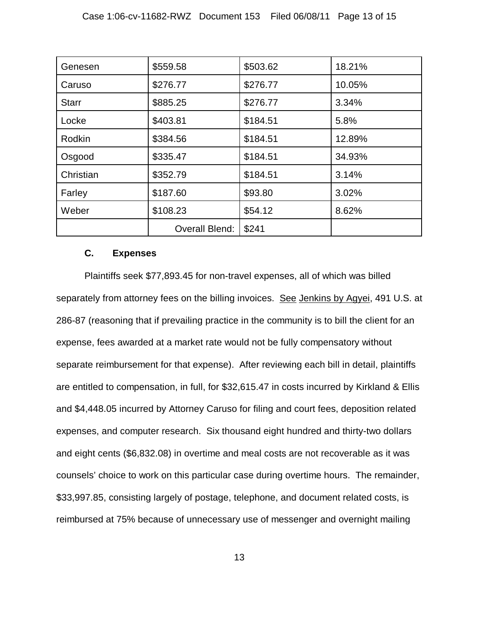| Genesen      | \$559.58       | \$503.62 | 18.21% |
|--------------|----------------|----------|--------|
| Caruso       | \$276.77       | \$276.77 | 10.05% |
| <b>Starr</b> | \$885.25       | \$276.77 | 3.34%  |
| Locke        | \$403.81       | \$184.51 | 5.8%   |
| Rodkin       | \$384.56       | \$184.51 | 12.89% |
| Osgood       | \$335.47       | \$184.51 | 34.93% |
| Christian    | \$352.79       | \$184.51 | 3.14%  |
| Farley       | \$187.60       | \$93.80  | 3.02%  |
| Weber        | \$108.23       | \$54.12  | 8.62%  |
|              | Overall Blend: | \$241    |        |

## **C. Expenses**

Plaintiffs seek \$77,893.45 for non-travel expenses, all of which was billed separately from attorney fees on the billing invoices. See Jenkins by Agyei, 491 U.S. at 286-87 (reasoning that if prevailing practice in the community is to bill the client for an expense, fees awarded at a market rate would not be fully compensatory without separate reimbursement for that expense). After reviewing each bill in detail, plaintiffs are entitled to compensation, in full, for \$32,615.47 in costs incurred by Kirkland & Ellis and \$4,448.05 incurred by Attorney Caruso for filing and court fees, deposition related expenses, and computer research. Six thousand eight hundred and thirty-two dollars and eight cents (\$6,832.08) in overtime and meal costs are not recoverable as it was counsels' choice to work on this particular case during overtime hours. The remainder, \$33,997.85, consisting largely of postage, telephone, and document related costs, is reimbursed at 75% because of unnecessary use of messenger and overnight mailing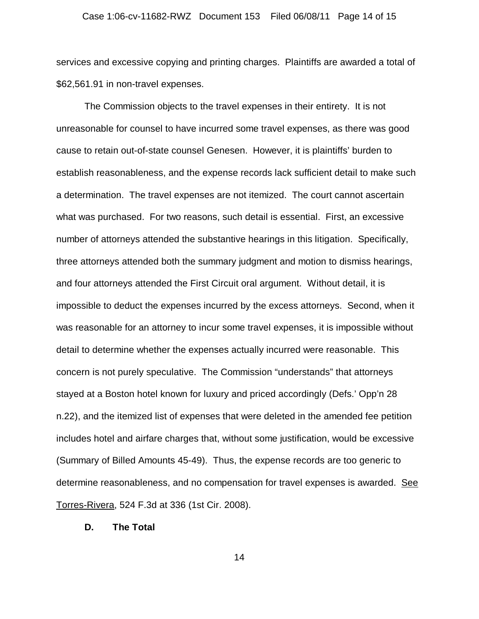#### Case 1:06-cv-11682-RWZ Document 153 Filed 06/08/11 Page 14 of 15

services and excessive copying and printing charges. Plaintiffs are awarded a total of \$62,561.91 in non-travel expenses.

The Commission objects to the travel expenses in their entirety. It is not unreasonable for counsel to have incurred some travel expenses, as there was good cause to retain out-of-state counsel Genesen. However, it is plaintiffs' burden to establish reasonableness, and the expense records lack sufficient detail to make such a determination. The travel expenses are not itemized. The court cannot ascertain what was purchased. For two reasons, such detail is essential. First, an excessive number of attorneys attended the substantive hearings in this litigation. Specifically, three attorneys attended both the summary judgment and motion to dismiss hearings, and four attorneys attended the First Circuit oral argument. Without detail, it is impossible to deduct the expenses incurred by the excess attorneys. Second, when it was reasonable for an attorney to incur some travel expenses, it is impossible without detail to determine whether the expenses actually incurred were reasonable. This concern is not purely speculative. The Commission "understands" that attorneys stayed at a Boston hotel known for luxury and priced accordingly (Defs.' Opp'n 28 n.22), and the itemized list of expenses that were deleted in the amended fee petition includes hotel and airfare charges that, without some justification, would be excessive (Summary of Billed Amounts 45-49). Thus, the expense records are too generic to determine reasonableness, and no compensation for travel expenses is awarded. See Torres-Rivera, 524 F.3d at 336 (1st Cir. 2008).

## **D. The Total**